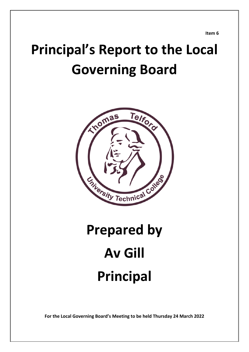**Item 6**

## **Principal's Report to the Local Governing Board**



# **Prepared by Av Gill Principal**

**For the Local Governing Board's Meeting to be held Thursday 24 March 2022**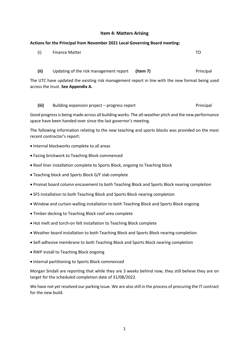#### **Item 4: Matters Arising**

### **Actions for the Principal from November 2021 Local Governing Board meeting:** (i) Finance Matter TO **(ii)** Updating of the risk management report **(Item 7)** Principal

The UTC have updated the existing risk management report in line with the new format being used across the trust. **See Appendix A.**

#### **(iii)** Building expansion project – progress report Principal

Good progress is being made across all building works. The all-weather pitch and the new performance space have been handed over since the last governor's meeting.

The following information relating to the new teaching and sports blocks was provided on the most recent contractor's report:

- Internal blockworks complete to all areas
- Facing brickwork to Teaching Block commenced
- Roof liner installation complete to Sports Block, ongoing to Teaching block
- Teaching block and Sports Block G/F slab complete
- Promat board column encasement to both Teaching Block and Sports Block nearing completion
- SFS installation to both Teaching Block and Sports Block nearing completion
- Window and curtain walling installation to both Teaching Block and Sports Block ongoing
- Timber decking to Teaching Block roof area complete
- Hot melt and torch-on felt installation to Teaching Block complete
- Weather board installation to both Teaching Block and Sports Block nearing completion
- Self-adhesive membrane to both Teaching Block and Sports Block nearing completion
- RWP install to Teaching Block ongoing
- Internal partitioning to Sports Block commenced

Morgan Sindall are reporting that while they are 3 weeks behind now, they still believe they are on target for the scheduled completion date of 31/08/2022.

We have not yet resolved our parking issue. We are also still in the process of procuring the IT contract for the new build.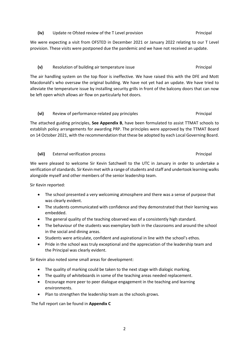#### **(vii)** External verification process Principal

We were pleased to welcome Sir Kevin Satchwell to the UTC in January in order to undertake a verification of standards. Sir Kevin met with a range of students and staff and undertook learning walks alongside myself and other members of the senior leadership team.

Sir Kevin reported:

- The school presented a very welcoming atmosphere and there was a sense of purpose that was clearly evident.
- The students communicated with confidence and they demonstrated that their learning was embedded.
- The general quality of the teaching observed was of a consistently high standard.
- The behaviour of the students was exemplary both in the classrooms and around the school in the social and dining areas.
- Students were articulate, confident and aspirational in line with the school's ethos.
- Pride in the school was truly exceptional and the appreciation of the leadership team and the Principal was clearly evident.

Sir Kevin also noted some small areas for development:

- The quality of marking could be taken to the next stage with dialogic marking.
- The quality of whiteboards in some of the teaching areas needed replacement.
- Encourage more peer to peer dialogue engagement in the teaching and learning environments.
- Plan to strengthen the leadership team as the schools grows.

The full report can be found in **Appendix C**

#### **(iv)** Update re Ofsted review of the T Level provision Principal

We were expecting a visit from OFSTED in December 2021 or January 2022 relating to our T Level provision. These visits were postponed due the pandemic and we have not received an update.

#### (v) Resolution of building air temperature issue **Principal**

The air handling system on the top floor is ineffective. We have raised this with the DFE and Mott Macdonald's who oversaw the original building. We have not yet had an update. We have tried to alleviate the temperature issue by installing security grills in front of the balcony doors that can now be left open which allows air flow on particularly hot doors.

### **(vi)** Review of performance-related pay principles **Principal**

The attached guiding principles, **See Appendix B**, have been formulated to assist TTMAT schools to establish policy arrangements for awarding PRP. The principles were approved by the TTMAT Board on 14 October 2021, with the recommendation that these be adopted by each Local Governing Board.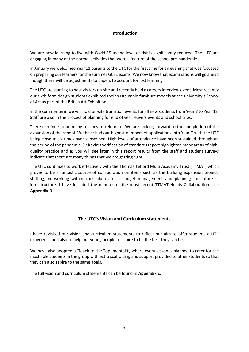#### **Introduction**

We are now learning to live with Covid-19 as the level of risk is significantly reduced. The UTC are engaging in many of the normal activities that were a feature of the school pre-pandemic.

In January we welcomed Year 11 parents to the UTC for the first time for an evening that was focussed on preparing our learners for the summer GCSE exams. We now know that examinations will go ahead though there will be adjustments to papers to account for lost learning.

The UTC are starting to host visitors on-site and recently held a careers interview event. Most recently our sixth form design students exhibited their sustainable furniture models at the university's School of Art as part of the British Art Exhibition.

In the summer term we will hold on-site transition events for all new students from Year 7 to Year 12. Staff are also in the process of planning for end of year leavers events and school trips.

There continue to be many reasons to celebrate. We are looking forward to the completion of the expansion of the school. We have had our highest numbers of applications into Year 7 with the UTC being close to six times over-subscribed. High levels of attendance have been sustained throughout the period of the pandemic. Sir Kevin's verification of standardsreport highlighted many areas of highquality practice and as you will see later in this report results from the staff and student surveys indicate that there are many things that we are getting right.

The UTC continues to work effectively with the Thomas Telford Multi Academy Trust (TTMAT) which proves to be a fantastic source of collaboration on items such as the building expansion project, staffing, networking within curriculum areas, budget management and planning for future IT infrastructure. I have included the minutes of the most recent TTMAT Heads Collaboration -see **Appendix D**.

#### **The UTC's Vision and Curriculum statements**

I have revisited our vision and curriculum statements to reflect our aim to offer students a UTC experience and also to help our young people to aspire to be the best they can be.

We have also adopted a 'Teach to the Top' mentality where every lesson is planned to cater for the most able students in the group with extra scaffolding and support provided to other students so that they can also aspire to the same goals.

The full vision and curriculum statements can be found in **Appendix E**.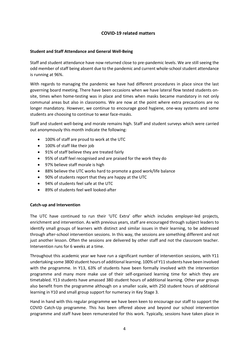#### **COVID-19 related matters**

#### **Student and Staff Attendance and General Well-Being**

Staff and student attendance have now returned close to pre-pandemic levels. We are still seeing the odd member of staff being absent due to the pandemic and current whole-school student attendance is running at 96%.

With regards to managing the pandemic we have had different procedures in place since the last governing board meeting. There have been occasions when we have lateral flow tested students onsite, times when home-testing was in place and times when masks became mandatory in not only communal areas but also in classrooms. We are now at the point where extra precautions are no longer mandatory. However, we continue to encourage good hygiene, one-way systems and some students are choosing to continue to wear face-masks.

Staff and student well-being and morale remains high. Staff and student surveys which were carried out anonymously this month indicate the following:

- 100% of staff are proud to work at the UTC
- 100% of staff like their job
- 91% of staff believe they are treated fairly
- 95% of staff feel recognised and are praised for the work they do
- 97% believe staff morale is high
- 88% believe the UTC works hard to promote a good work/life balance
- 90% of students report that they are happy at the UTC
- 94% of students feel safe at the UTC
- 89% of students feel well looked-after

#### **Catch-up and Intervention**

The UTC have continued to run their 'UTC Extra' offer which includes employer-led projects, enrichment and intervention. As with previous years, staff are encouraged through subject leaders to identify small groups of learners with distinct and similar issues in their learning, to be addressed through after-school intervention sessions. In this way, the sessions are something different and not just another lesson. Often the sessions are delivered by other staff and not the classroom teacher. Intervention runs for 6 weeks at a time.

Throughout this academic year we have run a significant number of intervention sessions, with Y11 undertaking some 3800 student hours of additional learning. 100% of Y11 students have been involved with the programme. In Y13, 63% of students have been formally involved with the intervention programme and many more make use of their self-organised learning time for which they are timetabled. Y13 students have amassed 380 student hours of additional learning. Other year groups also benefit from the programme although on a smaller scale, with 250 student hours of additional learning in Y10 and small group support for numeracy in Key Stage 3.

Hand in hand with this regular programme we have been keen to encourage our staff to support the COVID Catch-Up programme. This has been offered above and beyond our school intervention programme and staff have been remunerated for this work. Typically, sessions have taken place in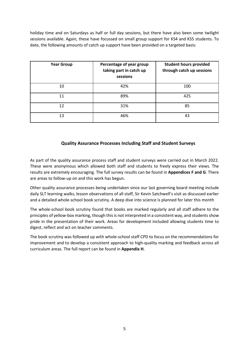holiday time and on Saturdays as half or full day sessions, but there have also been some twilight sessions available. Again, these have focussed on small group support for KS4 and KS5 students. To date, the following amounts of catch up support have been provided on a targeted basis:

| <b>Year Group</b> | Percentage of year group<br>taking part in catch up<br>sessions | <b>Student hours provided</b><br>through catch up sessions |  |
|-------------------|-----------------------------------------------------------------|------------------------------------------------------------|--|
| 10                | 42%                                                             | 100                                                        |  |
| 11                | 89%                                                             | 425                                                        |  |
| 12                | 31%                                                             | 85                                                         |  |
| 13                | 46%                                                             | 43                                                         |  |

#### **Quality Assurance Processes Including Staff and Student Surveys**

As part of the quality assurance process staff and student surveys were carried out in March 2022. These were anonymous which allowed both staff and students to freely express their views. The results are extremely encouraging. The full survey results can be found in **Appendices F and G**. There are areas to follow-up on and this work has begun.

Other quality assurance processes being undertaken since our last governing board meeting include daily SLT learning walks, lesson observations of all staff, Sir Kevin Satchwell's visit as discussed earlier and a detailed whole-school book scrutiny. A deep dive into science is planned for later this month

The whole-school book scrutiny found that books are marked regularly and all staff adhere to the principles of yellow-box marking, though this is not interpreted in a consistent way, and students show pride in the presentation of their work. Areas for development included allowing students time to digest, reflect and act on teacher comments.

The book scrutiny was followed up with whole-school staff CPD to focus on the recommendations for improvement and to develop a consistent approach to high-quality marking and feedback across all curriculum areas. The full report can be found in **Appendix H**.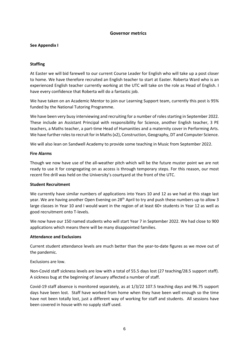#### **Governor metrics**

#### **See Appendix I**

#### **Staffing**

At Easter we will bid farewell to our current Course Leader for English who will take up a post closer to home. We have therefore recruited an English teacher to start at Easter. Roberta Ward who is an experienced English teacher currently working at the UTC will take on the role as Head of English. I have every confidence that Roberta will do a fantastic job.

We have taken on an Academic Mentor to join our Learning Support team, currently this post is 95% funded by the National Tutoring Programme.

We have been very busy interviewing and recruiting for a number of roles starting in September 2022. These include an Assistant Principal with responsibility for Science, another English teacher, 3 PE teachers, a Maths teacher, a part-time Head of Humanities and a maternity cover in Performing Arts. We have further roles to recruit for in Maths (x2), Construction, Geography, DT and Computer Science.

We will also lean on Sandwell Academy to provide some teaching in Music from September 2022.

#### **Fire Alarms**

Though we now have use of the all-weather pitch which will be the future muster point we are not ready to use it for congregating on as access is through temporary steps. For this reason, our most recent fire drill was held on the University's courtyard at the front of the UTC.

#### **Student Recruitment**

We currently have similar numbers of applications into Years 10 and 12 as we had at this stage last year. We are having another Open Evening on  $28<sup>th</sup>$  April to try and push these numbers up to allow 3 large classes in Year 10 and I would want in the region of at least 60+ students in Year 12 as well as good recruitment onto T-levels.

We now have our 150 named students who will start Year 7 in September 2022. We had close to 900 applications which means there will be many disappointed families.

#### **Attendance and Exclusions**

Current student attendance levels are much better than the year-to-date figures as we move out of the pandemic.

Exclusions are low.

Non-Covid staff sickness levels are low with a total of 55.5 days lost (27 teaching/28.5 support staff). A sickness bug at the beginning of January affected a number of staff.

Covid-19 staff absence is monitored separately, as at 1/3/22 107.5 teaching days and 96.75 support days have been lost. Staff have worked from home when they have been well enough so the time have not been totally lost, just a different way of working for staff and students. All sessions have been covered in house with no supply staff used.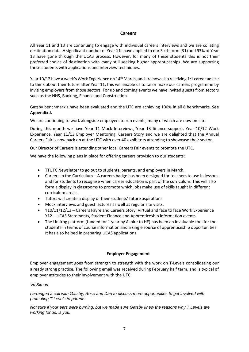#### **Careers**

All Year 11 and 13 are continuing to engage with individual careers interviews and we are collating destination data. A significant number of Year 11s have applied to our Sixth form (31) and 93% of Year 13 have gone through the UCAS process. However, for many of these students this is not their preferred choice of destination with many still seeking higher apprenticeships. We are supporting these students with applications and interview techniques.

Year 10/12 have a week's Work Experience on 14th March, and are now also receiving 1:1 career advice to think about their future after Year 11, this will enable us to tailor make our careers programme by inviting employers from those sectors. For up and coming events we have invited guests from sectors such as the NHS, Banking, Finance and Construction.

Gatsby benchmark's have been evaluated and the UTC are achieving 100% in all 8 benchmarks. **See Appendix J.**

We are continuing to work alongside employers to run events, many of which are now on-site.

During this month we have Year 11 Mock Interviews, Year 13 finance support, Year 10/12 Work Experience, Year 11/13 Employer Mentoring, Careers Story and we are delighted that the Annual Careers Fair is now back on at the UTC with over 40 exhibitors attending to showcase their sector.

Our Director of Careers is attending other local Careers Fair events to promote the UTC.

We have the following plans in place for offering careers provision to our students:

- TTUTC Newsletter to go out to students, parents, and employers in March.
- Careers in the Curriculum A careers badge has been designed for teachers to use in lessons and for students to recognise when career education is part of the curriculum. This will also form a display in classrooms to promote which jobs make use of skills taught in different curriculum areas.
- Tutors will create a display of their students' future aspirations.
- Mock interviews and guest lectures as well as regular site visits.
- Y10/11/12/13 Careers Fayre and Careers Story, Virtual and face to face Work Experience Y12 – UCAS Statements, Student Finance and Apprenticeship information events.
- The Unifrog platform (funded for 1 year by Aspire to HE) has been an invaluable tool for the students in terms of course information and a single source of apprenticeship opportunities. It has also helped in preparing UCAS applications.

#### **Employer Engagement**

Employer engagement goes from strength to strength with the work on T-Levels consolidating our already strong practice. The following email was received during February half term, and is typical of employer attitudes to their involvement with the UTC:

#### *'Hi Simon*

*I arranged a call with Gatsby, Rose and Dan to discuss more opportunities to get involved with promoting T Levels to parents.* 

*Not sure if your ears were burning, but we made sure Gatsby knew the reasons why T Levels are working for us, is you.*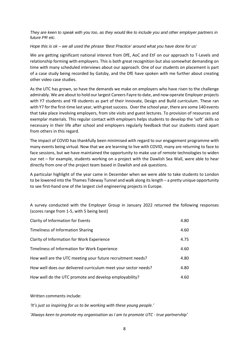*They are keen to speak with you too, as they would like to include you and other employer partners in future PR etc.* 

#### *Hope this is ok – we all used the phrase 'Best Practice' around what you have done for us'*

We are getting significant national interest from DfE, AoC and EtF on our approach to T-Levels and relationship forming with employers. This is both great recognition but also somewhat demanding on time with many scheduled interviews about our approach. One of our students on placement is part of a case study being recorded by Gatsby, and the DfE have spoken with me further about creating other video case studies.

As the UTC has grown, so have the demands we make on employers who have risen to the challenge admirably. We are about to hold our largest Careers Fayre to date, and now operate Employer projects with Y7 students and Y8 students as part of their Innovate, Design and Build curriculum. These ran with Y7 for the first-time last year, with great success. Over the school year, there are some 140 events that take place involving employers, from site visits and guest lectures. To provision of resources and exemplar materials. This regular contact with employers helps students to develop the 'soft' skills so necessary in their life after school and employers regularly feedback that our students stand apart from others in this regard.

The impact of COVID has thankfully been minimised with regard to our engagement programme with many events being virtual. Now that we are learning to live with COVID, many are returning to face to face sessions, but we have maintained the opportunity to make use of remote technologies to widen our net – for example, students working on a project with the Dawlish Sea Wall, were able to hear directly from one of the project team based in Dawlish and ask questions.

A particular highlight of the year came in December when we were able to take students to London to be lowered into the Thames Tideway Tunnel and walk along its length – a pretty unique opportunity to see first-hand one of the largest civil engineering projects in Europe.

A survey conducted with the Employer Group in January 2022 returned the following responses (scores range from 1-5, with 5 being best)

| Clarity of Information for Events                              | 4.80 |
|----------------------------------------------------------------|------|
| Timeliness of Information Sharing                              | 4.60 |
| Clarity of Information for Work Experience                     | 4.75 |
| Timeliness of Information for Work Experience                  | 4.60 |
| How well are the UTC meeting your future recruitment needs?    | 4.80 |
| How well does our delivered curriculum meet your sector needs? | 4.80 |
| How well do the UTC promote and develop employability?         | 4.60 |

#### Written comments include:

*'It's just so inspiring for us to be working with these young people.'*

*'Always keen to promote my organisation as I am to promote UTC - true partnership'*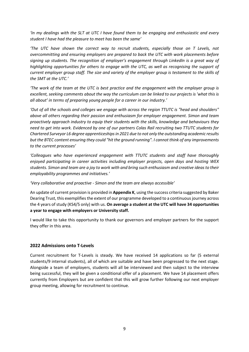*'In my dealings with the SLT at UTC I have found them to be engaging and enthusiastic and every student I have had the pleasure to meet has been the same'*

*'The UTC have shown the correct way to recruit students, especially those on T Levels, not overcommitting and ensuring employers are prepared to back the UTC with work placements before signing up students. The recognition of employer's engagement through LinkedIn is a great way of highlighting opportunities for others to engage with the UTC, as well as recognising the support of current employer group staff. The size and variety of the employer group is testament to the skills of the SMT at the UTC.'*

*'The work of the team at the UTC is best practice and the engagement with the employer group is excellent, seeking comments about the way the curriculum can be linked to our projects is 'what this is all about' in terms of preparing young people for a career in our industry.'*

*'Out of all the schools and colleges we engage with across the region TTUTC is "head and shoulders" above all others regarding their passion and enthusiasm for employer engagement. Simon and team proactively approach industry to equip their students with the skills, knowledge and behaviours they need to get into work. Evidenced by one of our partners Colas Rail recruiting two TTUTC students for Chartered Surveyor L6 degree apprenticeships in 2021 due to not only the outstanding academic results but the BTEC content ensuring they could "hit the ground running". I cannot think of any improvements to the current processes'*

*'Colleagues who have experienced engagement with TTUTC students and staff have thoroughly enjoyed participating in career activities including employer projects, open days and hosting WEX students. Simon and team are a joy to work with and bring such enthusiasm and creative ideas to their employability programmes and initiatives.'*

*'Very collaborative and proactive - Simon and the team are always accessible'*

An update of current provision is provided in **Appendix K**, using the success criteria suggested by Baker Dearing Trust, this exemplifies the extent of our programme developed to a continuous journey across the 4 years of study (KS4/5 only) with us. **On average a student at the UTC will have 34 opportunities a year to engage with employers or University staff.** 

I would like to take this opportunity to thank our governors and employer partners for the support they offer in this area.

#### **2022 Admissions onto T-Levels**

Current recruitment for T-Levels is steady. We have received 14 applications so far (5 external students/9 internal students), all of which are suitable and have been progressed to the next stage. Alongside a team of employers, students will all be interviewed and then subject to the interview being successful, they will be given a conditional offer of a placement. We have 14 placement offers currently from Employers but are confident that this will grow further following our next employer group meeting, allowing for recruitment to continue.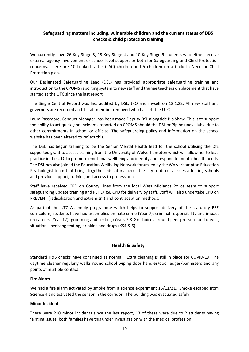#### **Safeguarding matters including, vulnerable children and the current status of DBS checks & child protection training**

We currently have 26 Key Stage 3, 13 Key Stage 4 and 10 Key Stage 5 students who either receive external agency involvement or school level support or both for Safeguarding and Child Protection concerns. There are 10 Looked -after (LAC) children and 5 children on a Child In Need or Child Protection plan.

Our Designated Safeguarding Lead (DSL) has provided appropriate safeguarding training and introduction to the CPOMS reporting system to new staff and trainee teachers on placement that have started at the UTC since the last report.

The Single Central Record was last audited by DSL, JRO and myself on 18.1.22. All new staff and governors are recorded and 1 staff member removed who has left the UTC.

Laura Passmore, Conduct Manager, has been made Deputy DSL alongside Pip Shaw. This is to support the ability to act quickly on incidents reported on CPOMS should the DSL or Pip be unavailable due to other commitments in school or off-site. The safeguarding policy and information on the school website has been altered to reflect this.

The DSL has begun training to be the Senior Mental Health lead for the school utilising the DfE supported grant to access training from the University of Wolverhampton which will allow her to lead practice in the UTC to promote emotional wellbeing and identify and respond to mental health needs. The DSL has also joined the Education Wellbeing Network forum led by the Wolverhampton Education Psychologist team that brings together educators across the city to discuss issues affecting schools and provide support, training and access to professionals.

Staff have received CPD on County Lines from the local West Midlands Police team to support safeguarding update training and PSHE/RSE CPD for delivery by staff. Staff will also undertake CPD on PREVENT (radicalisation and extremism) and contraception methods.

As part of the UTC Assembly programme which helps to support delivery of the statutory RSE curriculum, students have had assemblies on hate crime (Year 7); criminal responsibility and impact on careers (Year 12); grooming and sexting (Years 7 & 8); choices around peer pressure and driving situations involving texting, drinking and drugs (KS4 & 5).

#### **Health & Safety**

Standard H&S checks have continued as normal. Extra cleaning is still in place for COVID-19. The daytime cleaner regularly walks round school wiping door handles/door edges/bannisters and any points of multiple contact.

#### **Fire Alarm**

We had a fire alarm activated by smoke from a science experiment 15/11/21. Smoke escaped from Science 4 and activated the sensor in the corridor. The building was evacuated safely.

#### **Minor Incidents**

There were 210 minor incidents since the last report, 13 of these were due to 2 students having fainting issues, both families have this under investigation with the medical profession.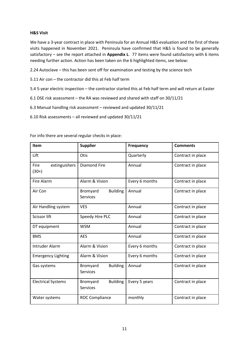#### **H&S Visit**

We have a 3-year contract in place with Peninsula for an Annual H&S evaluation and the first of these visits happened in November 2021. Peninsula have confirmed that H&S is found to be generally satisfactory – see the report attached in **Appendix L**. 77 items were found satisfactory with 6 items needing further action. Action has been taken on the 6 highlighted items, see below:

2.24 Autoclave – this has been sent off for examination and testing by the science tech

5.11 Air con – the contractor did this at Feb half term

- 5.4 5-year electric inspection the contractor started this at Feb half term and will return at Easter
- 6.1 DSE risk assessment the RA was reviewed and shared with staff on 30/11/21
- 6.3 Manual handling risk assessment reviewed and updated 30/11/21
- 6.10 Risk assessments all reviewed and updated 30/11/21

| Item                                    | <b>Supplier</b>                                | <b>Frequency</b> | <b>Comments</b>   |
|-----------------------------------------|------------------------------------------------|------------------|-------------------|
| Lift                                    | Otis                                           | Quarterly        | Contract in place |
| extinguishers<br><b>Fire</b><br>$(30+)$ | <b>Diamond Fire</b>                            | Annual           | Contract in place |
| Fire Alarm                              | Alarm & Vision                                 | Every 6 months   | Contract in place |
| Air Con                                 | Bromyard<br><b>Building</b><br><b>Services</b> | Annual           | Contract in place |
| Air Handling system                     | <b>VES</b>                                     | Annual           | Contract in place |
| Scissor lift                            | Speedy Hire PLC                                | Annual           | Contract in place |
| DT equipment                            | <b>WSM</b>                                     | Annual           | Contract in place |
| <b>BMS</b>                              | <b>AES</b>                                     | Annual           | Contract in place |
| <b>Intruder Alarm</b>                   | Alarm & Vision                                 | Every 6 months   | Contract in place |
| <b>Emergency Lighting</b>               | Alarm & Vision                                 | Every 6 months   | Contract in place |
| Gas systems                             | Bromyard<br><b>Building</b><br><b>Services</b> | Annual           | Contract in place |
| <b>Electrical Systems</b>               | <b>Building</b><br>Bromyard<br><b>Services</b> | Every 5 years    | Contract in place |
| Water systems                           | <b>ROC Compliance</b>                          | monthly          | Contract in place |

For info there are several regular checks in place: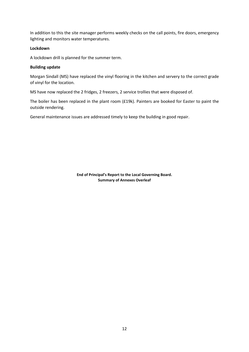In addition to this the site manager performs weekly checks on the call points, fire doors, emergency lighting and monitors water temperatures.

#### **Lockdown**

A lockdown drill is planned for the summer term.

#### **Building update**

Morgan Sindall (MS) have replaced the vinyl flooring in the kitchen and servery to the correct grade of vinyl for the location.

MS have now replaced the 2 fridges, 2 freezers, 2 service trollies that were disposed of.

The boiler has been replaced in the plant room (£19k). Painters are booked for Easter to paint the outside rendering.

General maintenance issues are addressed timely to keep the building in good repair.

**End of Principal's Report to the Local Governing Board. Summary of Annexes Overleaf**